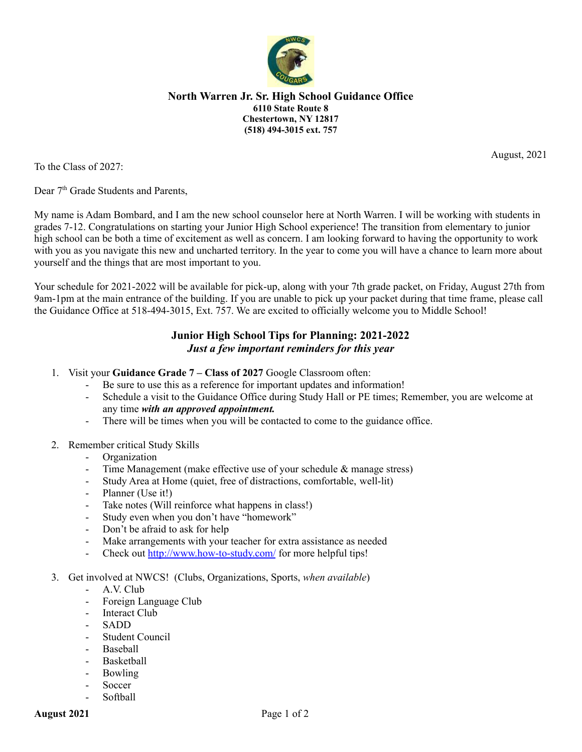

## **North Warren Jr. Sr. High School Guidance Office 6110 State Route 8 Chestertown, NY 12817 (518) 494-3015 ext. 757**

To the Class of 2027:

Dear 7<sup>th</sup> Grade Students and Parents,

My name is Adam Bombard, and I am the new school counselor here at North Warren. I will be working with students in grades 7-12. Congratulations on starting your Junior High School experience! The transition from elementary to junior high school can be both a time of excitement as well as concern. I am looking forward to having the opportunity to work with you as you navigate this new and uncharted territory. In the year to come you will have a chance to learn more about yourself and the things that are most important to you.

Your schedule for 2021-2022 will be available for pick-up, along with your 7th grade packet, on Friday, August 27th from 9am-1pm at the main entrance of the building. If you are unable to pick up your packet during that time frame, please call the Guidance Office at 518-494-3015, Ext. 757. We are excited to officially welcome you to Middle School!

## **Junior High School Tips for Planning: 2021-2022** *Just a few important reminders for this year*

- 1. Visit your **Guidance Grade 7 – Class of 2027** Google Classroom often:
	- Be sure to use this as a reference for important updates and information!
	- Schedule a visit to the Guidance Office during Study Hall or PE times; Remember, you are welcome at any time *with an approved appointment.*
	- There will be times when you will be contacted to come to the guidance office.
- 2. Remember critical Study Skills
	- Organization
	- Time Management (make effective use of your schedule & manage stress)
	- Study Area at Home (quiet, free of distractions, comfortable, well-lit)
	- Planner (Use it!)
	- Take notes (Will reinforce what happens in class!)
	- Study even when you don't have "homework"
	- Don't be afraid to ask for help
	- Make arrangements with your teacher for extra assistance as needed
	- Check out <http://www.how-to-study.com/> for more helpful tips!
- 3. Get involved at NWCS! (Clubs, Organizations, Sports, *when available*)
	- A.V. Club
	- Foreign Language Club
	- Interact Club
	- SADD
	- Student Council
	- **Baseball**
	- **Basketball**
	- Bowling
	- Soccer
	- Softball

August, 2021